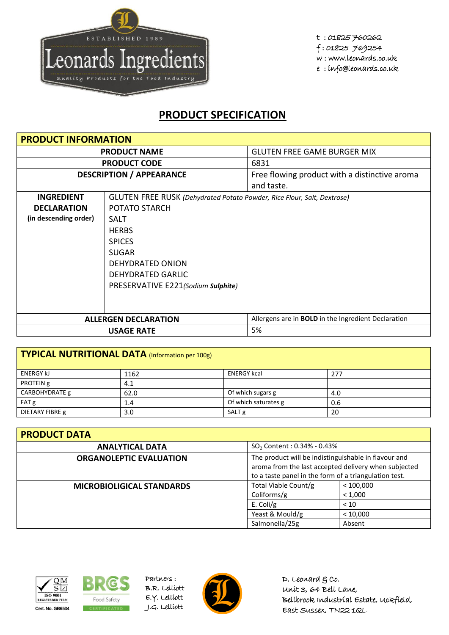

## **PRODUCT SPECIFICATION**

| <b>PRODUCT INFORMATION</b>      |                                                                                |                                                            |  |  |
|---------------------------------|--------------------------------------------------------------------------------|------------------------------------------------------------|--|--|
| <b>PRODUCT NAME</b>             |                                                                                | <b>GLUTEN FREE GAME BURGER MIX</b>                         |  |  |
|                                 | <b>PRODUCT CODE</b>                                                            | 6831                                                       |  |  |
| <b>DESCRIPTION / APPEARANCE</b> |                                                                                | Free flowing product with a distinctive aroma              |  |  |
|                                 |                                                                                | and taste.                                                 |  |  |
| <b>INGREDIENT</b>               | <b>GLUTEN FREE RUSK</b> (Dehydrated Potato Powder, Rice Flour, Salt, Dextrose) |                                                            |  |  |
| <b>DECLARATION</b>              | POTATO STARCH                                                                  |                                                            |  |  |
| (in descending order)           | <b>SALT</b>                                                                    |                                                            |  |  |
|                                 | <b>HERBS</b>                                                                   |                                                            |  |  |
|                                 | <b>SPICES</b>                                                                  |                                                            |  |  |
|                                 | <b>SUGAR</b>                                                                   |                                                            |  |  |
| DEHYDRATED ONION                |                                                                                |                                                            |  |  |
|                                 | <b>DEHYDRATED GARLIC</b>                                                       |                                                            |  |  |
|                                 | PRESERVATIVE E221(Sodium Sulphite)                                             |                                                            |  |  |
|                                 |                                                                                |                                                            |  |  |
|                                 |                                                                                |                                                            |  |  |
| <b>ALLERGEN DECLARATION</b>     |                                                                                | Allergens are in <b>BOLD</b> in the Ingredient Declaration |  |  |
|                                 | 5%                                                                             |                                                            |  |  |

| TYPICAL NUTRITIONAL DATA (Information per 100g) |      |                      |     |  |
|-------------------------------------------------|------|----------------------|-----|--|
| <b>ENERGY KJ</b>                                | 1162 | <b>ENERGY kcal</b>   | 277 |  |
| PROTEIN g                                       | 4.1  |                      |     |  |
| CARBOHYDRATE g                                  | 62.0 | Of which sugars g    | 4.0 |  |
| FAT g                                           | 1.4  | Of which saturates g | 0.6 |  |
| DIETARY FIBRE g                                 | 3.0  | SALT <sub>g</sub>    | 20  |  |

| <b>PRODUCT DATA</b>                                      |                                                                                                                                                                       |           |  |  |
|----------------------------------------------------------|-----------------------------------------------------------------------------------------------------------------------------------------------------------------------|-----------|--|--|
| <b>ANALYTICAL DATA</b>                                   | $SO_2$ Content : 0.34% - 0.43%                                                                                                                                        |           |  |  |
| <b>ORGANOLEPTIC EVALUATION</b>                           | The product will be indistinguishable in flavour and<br>aroma from the last accepted delivery when subjected<br>to a taste panel in the form of a triangulation test. |           |  |  |
| Total Viable Count/g<br><b>MICROBIOLIGICAL STANDARDS</b> |                                                                                                                                                                       | < 100,000 |  |  |
|                                                          | Coliforms/g                                                                                                                                                           | < 1,000   |  |  |
|                                                          | E. Coli/g                                                                                                                                                             | < 10      |  |  |
|                                                          | Yeast & Mould/g                                                                                                                                                       | < 10,000  |  |  |
|                                                          | Salmonella/25g                                                                                                                                                        | Absent    |  |  |





Partners : B.R. Lelliott E.Y. Lelliott



D. Leonard  $g$  co. Unit 3, 64 Bell Lane, Bellbrook Industrial Estate, Uckfield, East Sussex, TN22 1QL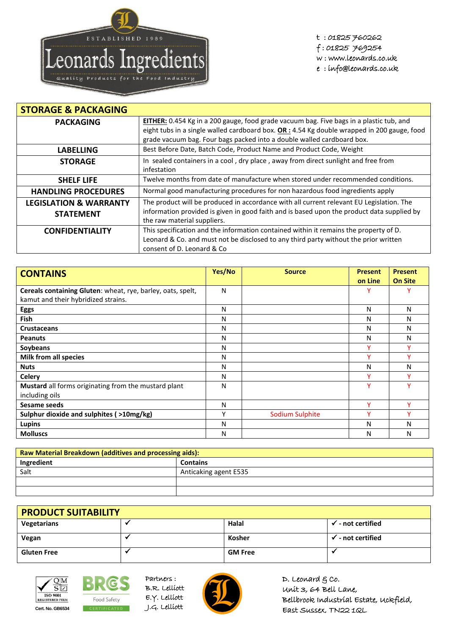

t : 01825 760262 f : 01825 769254 w : www.leonards.co.uk e : info@leonards.co.uk

| <b>STORAGE &amp; PACKAGING</b>    |                                                                                                                           |
|-----------------------------------|---------------------------------------------------------------------------------------------------------------------------|
| <b>PACKAGING</b>                  | EITHER: 0.454 Kg in a 200 gauge, food grade vacuum bag. Five bags in a plastic tub, and                                   |
|                                   | eight tubs in a single walled cardboard box. OR: 4.54 Kg double wrapped in 200 gauge, food                                |
|                                   | grade vacuum bag. Four bags packed into a double walled cardboard box.                                                    |
| <b>LABELLING</b>                  | Best Before Date, Batch Code, Product Name and Product Code, Weight                                                       |
| <b>STORAGE</b>                    | In sealed containers in a cool, dry place, away from direct sunlight and free from<br>infestation                         |
| <b>SHELF LIFE</b>                 | Twelve months from date of manufacture when stored under recommended conditions.                                          |
| <b>HANDLING PROCEDURES</b>        | Normal good manufacturing procedures for non hazardous food ingredients apply                                             |
| <b>LEGISLATION &amp; WARRANTY</b> | The product will be produced in accordance with all current relevant EU Legislation. The                                  |
| <b>STATEMENT</b>                  | information provided is given in good faith and is based upon the product data supplied by<br>the raw material suppliers. |
| <b>CONFIDENTIALITY</b>            | This specification and the information contained within it remains the property of D.                                     |
|                                   | Leonard & Co. and must not be disclosed to any third party without the prior written                                      |
|                                   | consent of D. Leonard & Co.                                                                                               |

| <b>CONTAINS</b>                                             | Yes/No | <b>Source</b>          | <b>Present</b> | <b>Present</b> |
|-------------------------------------------------------------|--------|------------------------|----------------|----------------|
|                                                             |        |                        | on Line        | <b>On Site</b> |
| Cereals containing Gluten: wheat, rye, barley, oats, spelt, | N      |                        |                |                |
| kamut and their hybridized strains.                         |        |                        |                |                |
| <b>Eggs</b>                                                 | N      |                        | N              | N              |
| <b>Fish</b>                                                 | N      |                        | N              | N              |
| <b>Crustaceans</b>                                          | N      |                        | N              | N              |
| <b>Peanuts</b>                                              | N      |                        | N              | N              |
| Soybeans                                                    | N      |                        |                |                |
| <b>Milk from all species</b>                                | N      |                        |                |                |
| <b>Nuts</b>                                                 | N      |                        | N              | N              |
| <b>Celery</b>                                               | N      |                        | v              |                |
| Mustard all forms originating from the mustard plant        | N      |                        | ٧              |                |
| including oils                                              |        |                        |                |                |
| Sesame seeds                                                | N      |                        | v              | v              |
| Sulphur dioxide and sulphites ( >10mg/kg)                   | Υ      | <b>Sodium Sulphite</b> | v              |                |
| <b>Lupins</b>                                               | N      |                        | N              | N              |
| <b>Molluscs</b>                                             | N      |                        | N              | N              |

| Raw Material Breakdown (additives and processing aids): |                       |  |
|---------------------------------------------------------|-----------------------|--|
| Ingredient                                              | <b>Contains</b>       |  |
| Salt                                                    | Anticaking agent E535 |  |
|                                                         |                       |  |
|                                                         |                       |  |

| <b>PRODUCT SUITABILITY</b> |  |                |                              |
|----------------------------|--|----------------|------------------------------|
| Vegetarians                |  | Halal          | $\checkmark$ - not certified |
| Vegan                      |  | Kosher         | $\checkmark$ - not certified |
| <b>Gluten Free</b>         |  | <b>GM Free</b> |                              |





Partners : B.R. Lelliott E.Y. Lelliott



D. Leonard  $g$  co. Unit 3, 64 Bell Lane, Bellbrook Industrial Estate, Uckfield, East Sussex, TN22 1QL